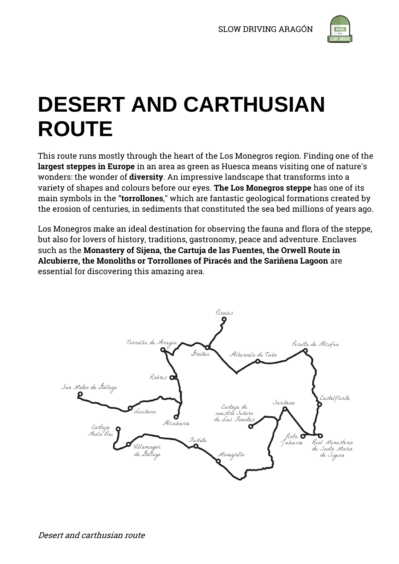

# **DESERT AND CARTHUSIAN ROUTE**

This route runs mostly through the heart of the Los Monegros region. Finding one of the **largest steppes in Europe** in an area as green as Huesca means visiting one of nature's wonders: the wonder of **diversity**. An impressive landscape that transforms into a variety of shapes and colours before our eyes. **The Los Monegros steppe** has one of its main symbols in the **"torrollones**," which are fantastic geological formations created by the erosion of centuries, in sediments that constituted the sea bed millions of years ago.

Los Monegros make an ideal destination for observing the fauna and flora of the steppe, but also for lovers of history, traditions, gastronomy, peace and adventure. Enclaves such as the **Monastery of Sijena, the Cartuja de las Fuentes, the Orwell Route in Alcubierre, the Monoliths or Torrollones of Piracés and the Sariñena Lagoon** are essential for discovering this amazing area.

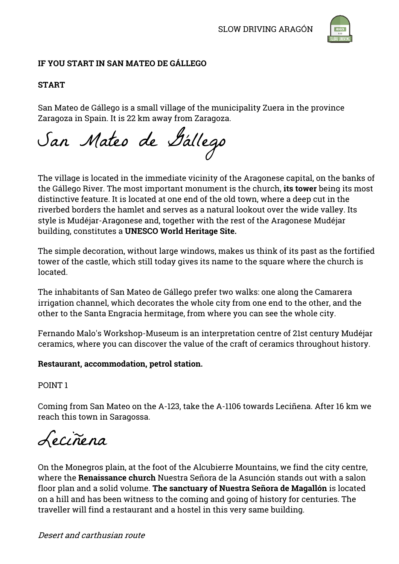

# **IF YOU START IN SAN MATEO DE GÁLLEGO**

# **START**

San Mateo de Gállego is a small village of the municipality Zuera in the province Zaragoza in Spain. It is 22 km away from Zaragoza.

San Mateo de Gállego

The village is located in the immediate vicinity of the Aragonese capital, on the banks of the Gállego River. The most important monument is the church, **its tower** being its most distinctive feature. It is located at one end of the old town, where a deep cut in the riverbed borders the hamlet and serves as a natural lookout over the wide valley. Its style is Mudéjar-Aragonese and, together with the rest of the Aragonese Mudéjar building, constitutes a **UNESCO World Heritage Site.**

The simple decoration, without large windows, makes us think of its past as the fortified tower of the castle, which still today gives its name to the square where the church is located.

The inhabitants of San Mateo de Gállego prefer two walks: one along the Camarera irrigation channel, which decorates the whole city from one end to the other, and the other to the Santa Engracia hermitage, from where you can see the whole city.

Fernando Malo's Workshop-Museum is an interpretation centre of 21st century Mudéjar ceramics, where you can discover the value of the craft of ceramics throughout history.

# **Restaurant, accommodation, petrol station.**

POINT 1

Coming from San Mateo on the A-123, take the A-1106 towards Leciñena. After 16 km we reach this town in Saragossa.

Leciñena

On the Monegros plain, at the foot of the Alcubierre Mountains, we find the city centre, where the **Renaissance church** Nuestra Señora de la Asunción stands out with a salon floor plan and a solid volume. **The sanctuary of Nuestra Señora de Magallón** is located on a hill and has been witness to the coming and going of history for centuries. The traveller will find a restaurant and a hostel in this very same building.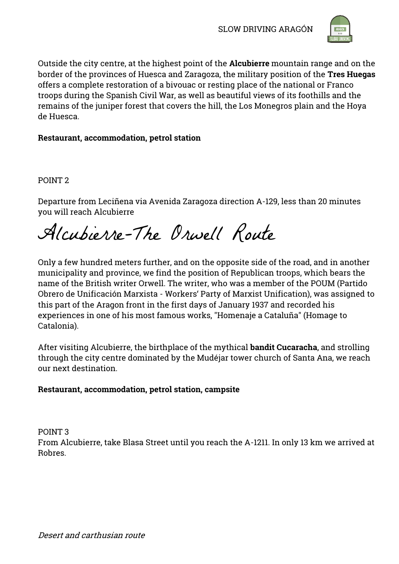

Outside the city centre, at the highest point of the **Alcubierre** mountain range and on the border of the provinces of Huesca and Zaragoza, the military position of the **Tres Huegas** offers a complete restoration of a bivouac or resting place of the national or Franco troops during the Spanish Civil War, as well as beautiful views of its foothills and the remains of the juniper forest that covers the hill, the Los Monegros plain and the Hoya de Huesca.

# **Restaurant, accommodation, petrol station**

POINT 2

Departure from Leciñena via Avenida Zaragoza direction A-129, less than 20 minutes you will reach Alcubierre

Alcubierre-The Orwell Route

Only a few hundred meters further, and on the opposite side of the road, and in another municipality and province, we find the position of Republican troops, which bears the name of the British writer Orwell. The writer, who was a member of the POUM (Partido Obrero de Unificación Marxista - Workers' Party of Marxist Unification), was assigned to this part of the Aragon front in the first days of January 1937 and recorded his experiences in one of his most famous works, "Homenaje a Cataluña" (Homage to Catalonia).

After visiting Alcubierre, the birthplace of the mythical **bandit Cucaracha**, and strolling through the city centre dominated by the Mudéjar tower church of Santa Ana, we reach our next destination.

# **Restaurant, accommodation, petrol station, campsite**

POINT 3

From Alcubierre, take Blasa Street until you reach the A-1211. In only 13 km we arrived at Robres.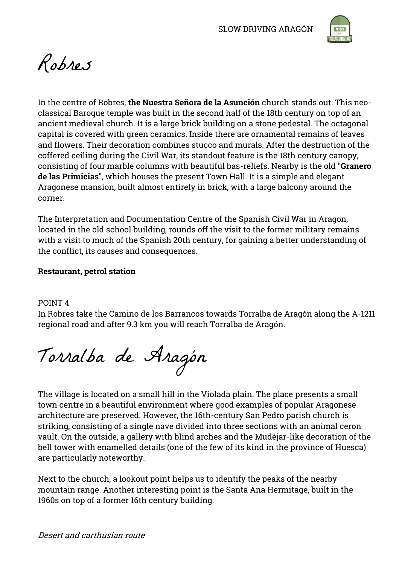

Robres

In the centre of Robres, **the Nuestra Señora de la Asunción** church stands out. This neoclassical Baroque temple was built in the second half of the 18th century on top of an ancient medieval church. It is a large brick building on a stone pedestal. The octagonal capital is covered with green ceramics. Inside there are ornamental remains of leaves and flowers. Their decoration combines stucco and murals. After the destruction of the coffered ceiling during the Civil War, its standout feature is the 18th century canopy, consisting of four marble columns with beautiful bas-reliefs. Nearby is the old "**Granero de las Primicias"**, which houses the present Town Hall. It is a simple and elegant Aragonese mansion, built almost entirely in brick, with a large balcony around the corner.

The Interpretation and Documentation Centre of the Spanish Civil War in Aragon, located in the old school building, rounds off the visit to the former military remains with a visit to much of the Spanish 20th century, for gaining a better understanding of the conflict, its causes and consequences.

## **Restaurant, petrol station**

#### POINT 4

In Robres take the Camino de los Barrancos towards Torralba de Aragón along the A-1211 regional road and after 9.3 km you will reach Torralba de Aragón.

Torralba de Aragón

The village is located on a small hill in the Violada plain. The place presents a small town centre in a beautiful environment where good examples of popular Aragonese architecture are preserved. However, the 16th-century San Pedro parish church is striking, consisting of a single nave divided into three sections with an animal ceron vault. On the outside, a gallery with blind arches and the Mudéjar-like decoration of the bell tower with enamelled details (one of the few of its kind in the province of Huesca) are particularly noteworthy.

Next to the church, a lookout point helps us to identify the peaks of the nearby mountain range. Another interesting point is the Santa Ana Hermitage, built in the 1960s on top of a former 16th century building.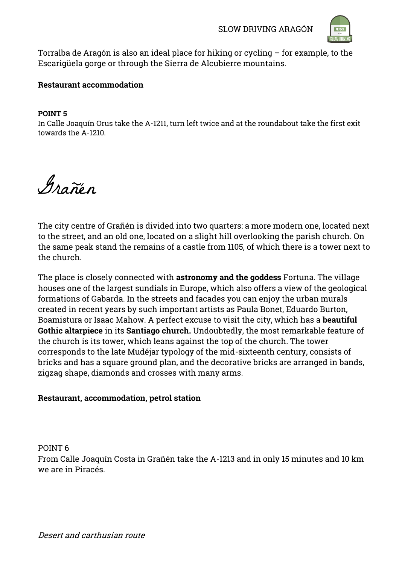

Torralba de Aragón is also an ideal place for hiking or cycling – for example, to the Escarigüela gorge or through the Sierra de Alcubierre mountains.

#### **Restaurant accommodation**

#### **POINT 5**

In Calle Joaquín Orus take the A-1211, turn left twice and at the roundabout take the first exit towards the A-1210.

Grañén

The city centre of Grañén is divided into two quarters: a more modern one, located next to the street, and an old one, located on a slight hill overlooking the parish church. On the same peak stand the remains of a castle from 1105, of which there is a tower next to the church.

The place is closely connected with **astronomy and the goddess** Fortuna. The village houses one of the largest sundials in Europe, which also offers a view of the geological formations of Gabarda. In the streets and facades you can enjoy the urban murals created in recent years by such important artists as Paula Bonet, Eduardo Burton, Boamistura or Isaac Mahow. A perfect excuse to visit the city, which has a **beautiful Gothic altarpiece** in its **Santiago church.** Undoubtedly, the most remarkable feature of the church is its tower, which leans against the top of the church. The tower corresponds to the late Mudéjar typology of the mid-sixteenth century, consists of bricks and has a square ground plan, and the decorative bricks are arranged in bands, zigzag shape, diamonds and crosses with many arms.

# **Restaurant, accommodation, petrol station**

POINT 6

From Calle Joaquín Costa in Grañén take the A-1213 and in only 15 minutes and 10 km we are in Piracés.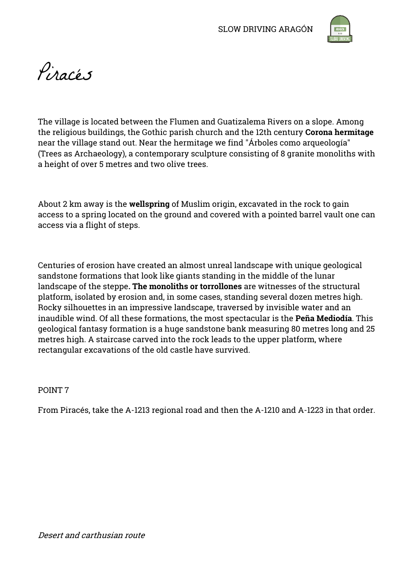

Pinacés

The village is located between the Flumen and Guatizalema Rivers on a slope. Among the religious buildings, the Gothic parish church and the 12th century **Corona hermitage** near the village stand out. Near the hermitage we find "Árboles como arqueología" (Trees as Archaeology), a contemporary sculpture consisting of 8 granite monoliths with a height of over 5 metres and two olive trees.

About 2 km away is the **wellspring** of Muslim origin, excavated in the rock to gain access to a spring located on the ground and covered with a pointed barrel vault one can access via a flight of steps.

Centuries of erosion have created an almost unreal landscape with unique geological sandstone formations that look like giants standing in the middle of the lunar landscape of the steppe**. The monoliths or torrollones** are witnesses of the structural platform, isolated by erosion and, in some cases, standing several dozen metres high. Rocky silhouettes in an impressive landscape, traversed by invisible water and an inaudible wind. Of all these formations, the most spectacular is the **Peña Mediodía**. This geological fantasy formation is a huge sandstone bank measuring 80 metres long and 25 metres high. A staircase carved into the rock leads to the upper platform, where rectangular excavations of the old castle have survived.

POINT 7

From Piracés, take the A-1213 regional road and then the A-1210 and A-1223 in that order.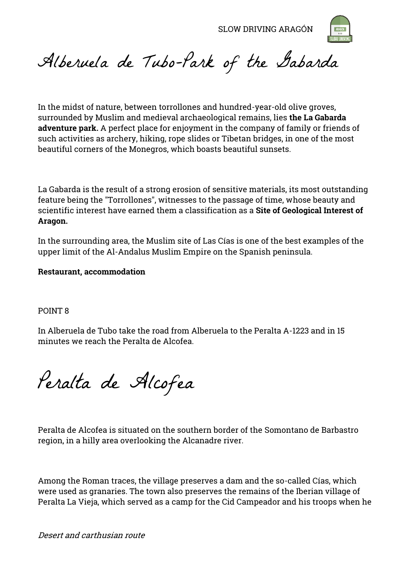

Alberuela de Tubo-Park of the Gabarda

In the midst of nature, between torrollones and hundred-year-old olive groves, surrounded by Muslim and medieval archaeological remains, lies **the La Gabarda adventure park.** A perfect place for enjoyment in the company of family or friends of such activities as archery, hiking, rope slides or Tibetan bridges, in one of the most beautiful corners of the Monegros, which boasts beautiful sunsets.

La Gabarda is the result of a strong erosion of sensitive materials, its most outstanding feature being the "Torrollones", witnesses to the passage of time, whose beauty and scientific interest have earned them a classification as a **Site of Geological Interest of Aragon.**

In the surrounding area, the Muslim site of Las Cías is one of the best examples of the upper limit of the Al-Andalus Muslim Empire on the Spanish peninsula.

#### **Restaurant, accommodation**

#### POINT 8

In Alberuela de Tubo take the road from Alberuela to the Peralta A-1223 and in 15 minutes we reach the Peralta de Alcofea.

Peralta de Alcofea

Peralta de Alcofea is situated on the southern border of the Somontano de Barbastro region, in a hilly area overlooking the Alcanadre river.

Among the Roman traces, the village preserves a dam and the so-called Cías, which were used as granaries. The town also preserves the remains of the Iberian village of Peralta La Vieja, which served as a camp for the Cid Campeador and his troops when he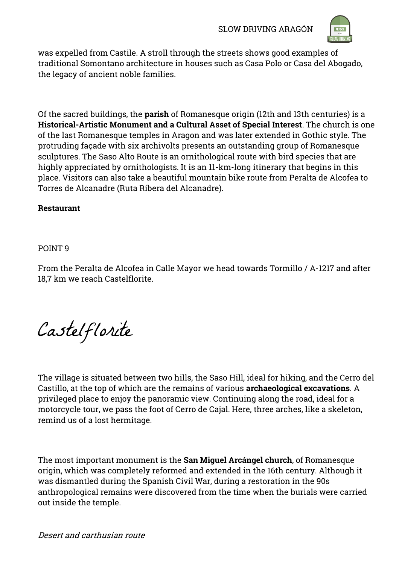

was expelled from Castile. A stroll through the streets shows good examples of traditional Somontano architecture in houses such as Casa Polo or Casa del Abogado, the legacy of ancient noble families.

Of the sacred buildings, the **parish** of Romanesque origin (12th and 13th centuries) is a **Historical-Artistic Monument and a Cultural Asset of Special Interest**. The church is one of the last Romanesque temples in Aragon and was later extended in Gothic style. The protruding façade with six archivolts presents an outstanding group of Romanesque sculptures. The Saso Alto Route is an ornithological route with bird species that are highly appreciated by ornithologists. It is an 11-km-long itinerary that begins in this place. Visitors can also take a beautiful mountain bike route from Peralta de Alcofea to Torres de Alcanadre (Ruta Ribera del Alcanadre).

## **Restaurant**

## POINT 9

From the Peralta de Alcofea in Calle Mayor we head towards Tormillo / A-1217 and after 18,7 km we reach Castelflorite.

Castelflorite

The village is situated between two hills, the Saso Hill, ideal for hiking, and the Cerro del Castillo, at the top of which are the remains of various **archaeological excavations**. A privileged place to enjoy the panoramic view. Continuing along the road, ideal for a motorcycle tour, we pass the foot of Cerro de Cajal. Here, three arches, like a skeleton, remind us of a lost hermitage.

The most important monument is the **San Miguel Arcángel church**, of Romanesque origin, which was completely reformed and extended in the 16th century. Although it was dismantled during the Spanish Civil War, during a restoration in the 90s anthropological remains were discovered from the time when the burials were carried out inside the temple.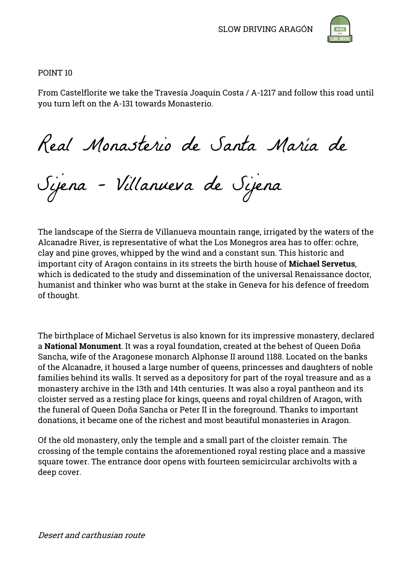

POINT 10

From Castelflorite we take the Travesía Joaquín Costa / A-1217 and follow this road until you turn left on the A-131 towards Monasterio.

Real Monasterio de Santa María de

Sijena - Villanueva de Sijena

The landscape of the Sierra de Villanueva mountain range, irrigated by the waters of the Alcanadre River, is representative of what the Los Monegros area has to offer: ochre, clay and pine groves, whipped by the wind and a constant sun. This historic and important city of Aragon contains in its streets the birth house of **Michael Servetus**, which is dedicated to the study and dissemination of the universal Renaissance doctor, humanist and thinker who was burnt at the stake in Geneva for his defence of freedom of thought.

The birthplace of Michael Servetus is also known for its impressive monastery, declared a **National Monument**. It was a royal foundation, created at the behest of Queen Doña Sancha, wife of the Aragonese monarch Alphonse II around 1188. Located on the banks of the Alcanadre, it housed a large number of queens, princesses and daughters of noble families behind its walls. It served as a depository for part of the royal treasure and as a monastery archive in the 13th and 14th centuries. It was also a royal pantheon and its cloister served as a resting place for kings, queens and royal children of Aragon, with the funeral of Queen Doña Sancha or Peter II in the foreground. Thanks to important donations, it became one of the richest and most beautiful monasteries in Aragon.

Of the old monastery, only the temple and a small part of the cloister remain. The crossing of the temple contains the aforementioned royal resting place and a massive square tower. The entrance door opens with fourteen semicircular archivolts with a deep cover.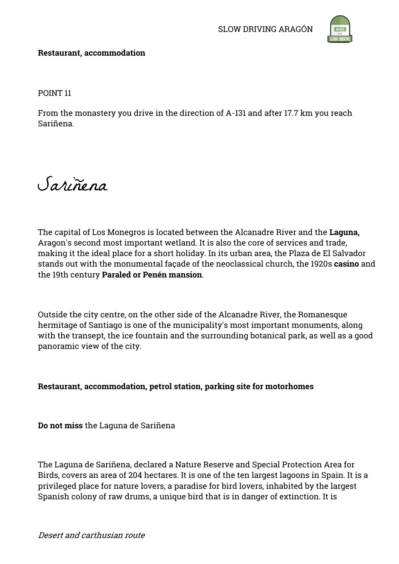

## **Restaurant, accommodation**

POINT 11

From the monastery you drive in the direction of A-131 and after 17.7 km you reach Sariñena.

Sariñena

The capital of Los Monegros is located between the Alcanadre River and the **Laguna,** Aragon's second most important wetland. It is also the core of services and trade, making it the ideal place for a short holiday. In its urban area, the Plaza de El Salvador stands out with the monumental façade of the neoclassical church, the 1920s **casino** and the 19th century **Paraled or Penén mansion**.

Outside the city centre, on the other side of the Alcanadre River, the Romanesque hermitage of Santiago is one of the municipality's most important monuments, along with the transept, the ice fountain and the surrounding botanical park, as well as a good panoramic view of the city.

# **Restaurant, accommodation, petrol station, parking site for motorhomes**

**Do not miss** the Laguna de Sariñena

The Laguna de Sariñena, declared a Nature Reserve and Special Protection Area for Birds, covers an area of 204 hectares. It is one of the ten largest lagoons in Spain. It is a privileged place for nature lovers, a paradise for bird lovers, inhabited by the largest Spanish colony of raw drums, a unique bird that is in danger of extinction. It is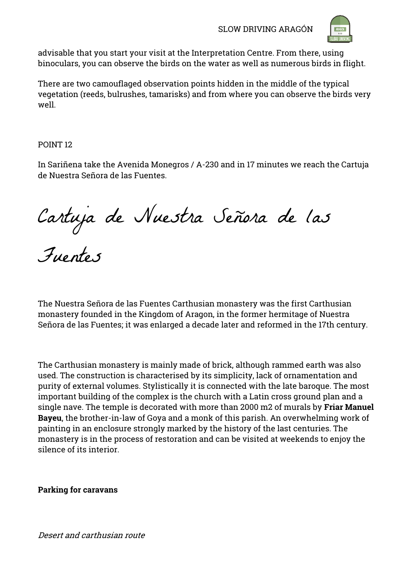

advisable that you start your visit at the Interpretation Centre. From there, using binoculars, you can observe the birds on the water as well as numerous birds in flight.

There are two camouflaged observation points hidden in the middle of the typical vegetation (reeds, bulrushes, tamarisks) and from where you can observe the birds very well.

POINT 12

In Sariñena take the Avenida Monegros / A-230 and in 17 minutes we reach the Cartuja de Nuestra Señora de las Fuentes.

Cartuja de Nuestra Señora de las

Fuentes

The Nuestra Señora de las Fuentes Carthusian monastery was the first Carthusian monastery founded in the Kingdom of Aragon, in the former hermitage of Nuestra Señora de las Fuentes; it was enlarged a decade later and reformed in the 17th century.

The Carthusian monastery is mainly made of brick, although rammed earth was also used. The construction is characterised by its simplicity, lack of ornamentation and purity of external volumes. Stylistically it is connected with the late baroque. The most important building of the complex is the church with a Latin cross ground plan and a single nave. The temple is decorated with more than 2000 m2 of murals by **Friar Manuel Bayeu**, the brother-in-law of Goya and a monk of this parish. An overwhelming work of painting in an enclosure strongly marked by the history of the last centuries. The monastery is in the process of restoration and can be visited at weekends to enjoy the silence of its interior.

# **Parking for caravans**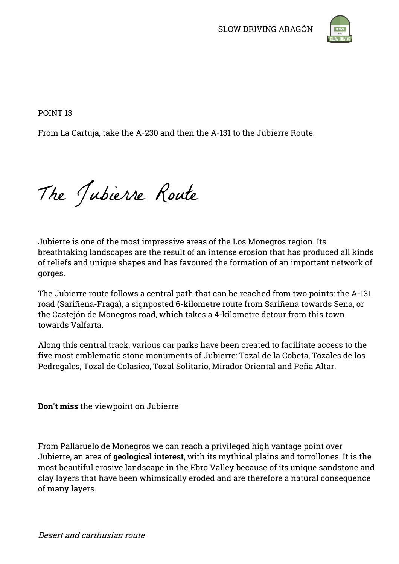

POINT 13

From La Cartuja, take the A-230 and then the A-131 to the Jubierre Route.

The Jubierre Route

Jubierre is one of the most impressive areas of the Los Monegros region. Its breathtaking landscapes are the result of an intense erosion that has produced all kinds of reliefs and unique shapes and has favoured the formation of an important network of gorges.

The Jubierre route follows a central path that can be reached from two points: the A-131 road (Sariñena-Fraga), a signposted 6-kilometre route from Sariñena towards Sena, or the Castejón de Monegros road, which takes a 4-kilometre detour from this town towards Valfarta.

Along this central track, various car parks have been created to facilitate access to the five most emblematic stone monuments of Jubierre: Tozal de la Cobeta, Tozales de los Pedregales, Tozal de Colasico, Tozal Solitario, Mirador Oriental and Peña Altar.

**Don't miss** the viewpoint on Jubierre

From Pallaruelo de Monegros we can reach a privileged high vantage point over Jubierre, an area of **geological interest**, with its mythical plains and torrollones. It is the most beautiful erosive landscape in the Ebro Valley because of its unique sandstone and clay layers that have been whimsically eroded and are therefore a natural consequence of many layers.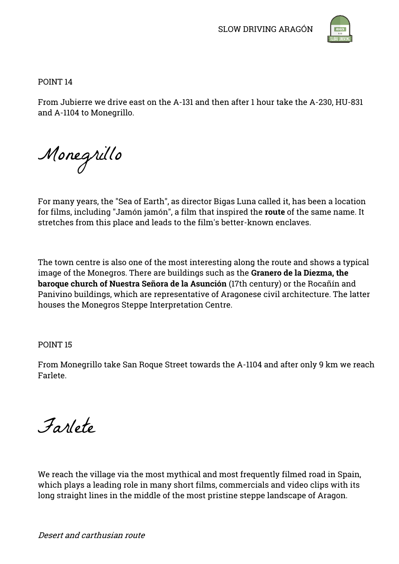

POINT 14

From Jubierre we drive east on the A-131 and then after 1 hour take the A-230, HU-831 and A-1104 to Monegrillo.

Monegrillo

For many years, the "Sea of Earth", as director Bigas Luna called it, has been a location for films, including "Jamón jamón", a film that inspired the **route** of the same name. It stretches from this place and leads to the film's better-known enclaves.

The town centre is also one of the most interesting along the route and shows a typical image of the Monegros. There are buildings such as the **Granero de la Diezma, the baroque church of Nuestra Señora de la Asunción** (17th century) or the Rocañín and Panivino buildings, which are representative of Aragonese civil architecture. The latter houses the Monegros Steppe Interpretation Centre.

POINT 15

From Monegrillo take San Roque Street towards the A-1104 and after only 9 km we reach Farlete.

Farlete

We reach the village via the most mythical and most frequently filmed road in Spain, which plays a leading role in many short films, commercials and video clips with its long straight lines in the middle of the most pristine steppe landscape of Aragon.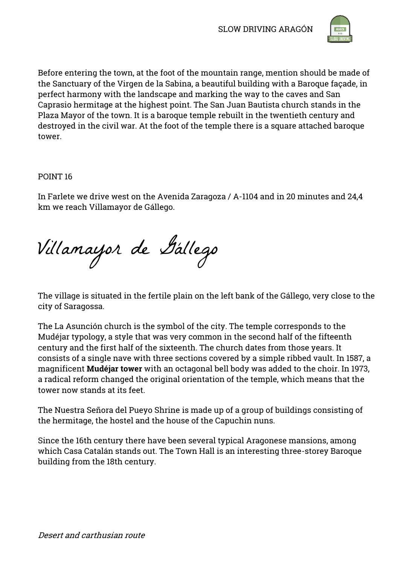

Before entering the town, at the foot of the mountain range, mention should be made of the Sanctuary of the Virgen de la Sabina, a beautiful building with a Baroque façade, in perfect harmony with the landscape and marking the way to the caves and San Caprasio hermitage at the highest point. The San Juan Bautista church stands in the Plaza Mayor of the town. It is a baroque temple rebuilt in the twentieth century and destroyed in the civil war. At the foot of the temple there is a square attached baroque tower.

POINT 16

In Farlete we drive west on the Avenida Zaragoza / A-1104 and in 20 minutes and 24,4 km we reach Villamayor de Gállego.

Villamayor de Gállego

The village is situated in the fertile plain on the left bank of the Gállego, very close to the city of Saragossa.

The La Asunción church is the symbol of the city. The temple corresponds to the Mudéjar typology, a style that was very common in the second half of the fifteenth century and the first half of the sixteenth. The church dates from those years. It consists of a single nave with three sections covered by a simple ribbed vault. In 1587, a magnificent **Mudéjar tower** with an octagonal bell body was added to the choir. In 1973, a radical reform changed the original orientation of the temple, which means that the tower now stands at its feet.

The Nuestra Señora del Pueyo Shrine is made up of a group of buildings consisting of the hermitage, the hostel and the house of the Capuchin nuns.

Since the 16th century there have been several typical Aragonese mansions, among which Casa Catalán stands out. The Town Hall is an interesting three-storey Baroque building from the 18th century.